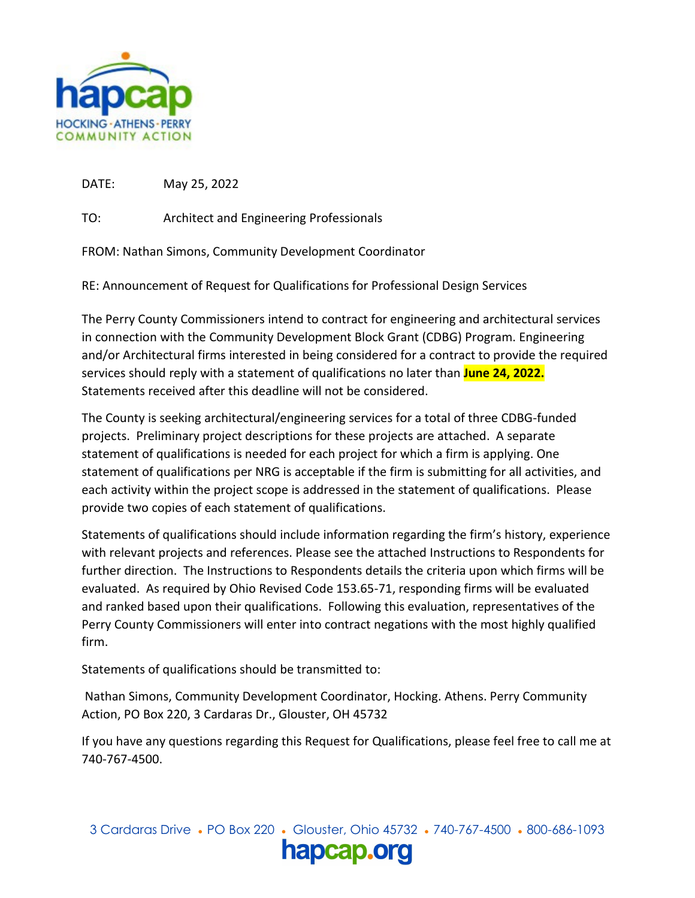

DATE: May 25, 2022

TO: Architect and Engineering Professionals

FROM: Nathan Simons, Community Development Coordinator

RE: Announcement of Request for Qualifications for Professional Design Services

The Perry County Commissioners intend to contract for engineering and architectural services in connection with the Community Development Block Grant (CDBG) Program. Engineering and/or Architectural firms interested in being considered for a contract to provide the required services should reply with a statement of qualifications no later than **June 24, 2022.**  Statements received after this deadline will not be considered.

The County is seeking architectural/engineering services for a total of three CDBG-funded projects. Preliminary project descriptions for these projects are attached. A separate statement of qualifications is needed for each project for which a firm is applying. One statement of qualifications per NRG is acceptable if the firm is submitting for all activities, and each activity within the project scope is addressed in the statement of qualifications. Please provide two copies of each statement of qualifications.

Statements of qualifications should include information regarding the firm's history, experience with relevant projects and references. Please see the attached Instructions to Respondents for further direction. The Instructions to Respondents details the criteria upon which firms will be evaluated. As required by Ohio Revised Code 153.65-71, responding firms will be evaluated and ranked based upon their qualifications. Following this evaluation, representatives of the Perry County Commissioners will enter into contract negations with the most highly qualified firm.

Statements of qualifications should be transmitted to:

Nathan Simons, Community Development Coordinator, Hocking. Athens. Perry Community Action, PO Box 220, 3 Cardaras Dr., Glouster, OH 45732

If you have any questions regarding this Request for Qualifications, please feel free to call me at 740-767-4500.

3 Cardaras Drive ● PO Box 220 ● Glouster, Ohio 45732 ● 740-767-4500 ● 800-686-1093 hapcap.org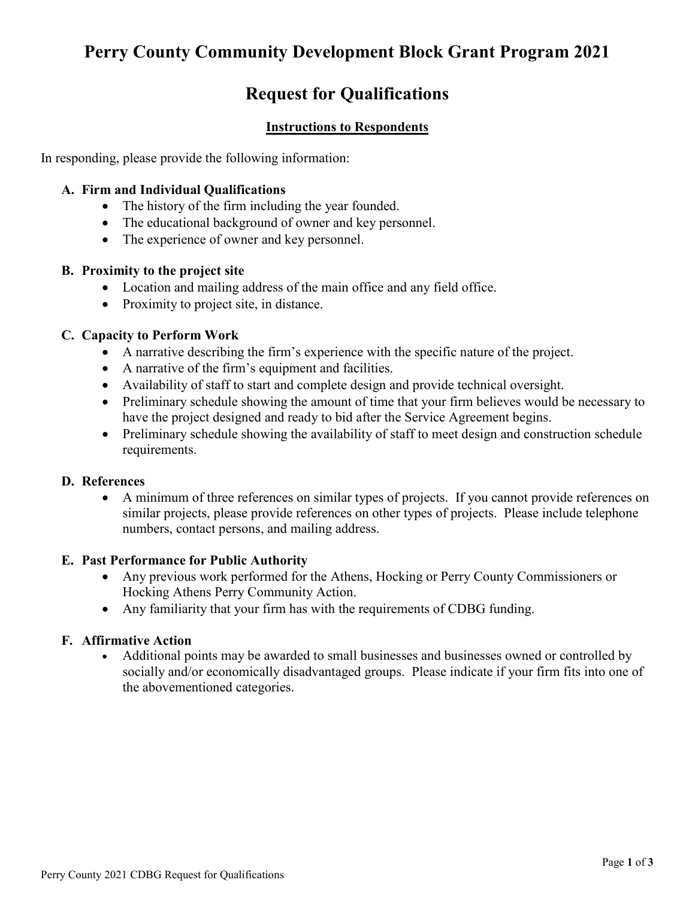# **Perry County Community Development Block Grant Program 2021**

# **Request for Qualifications**

# **Instructions to Respondents**

In responding, please provide the following information:

## **A. Firm and Individual Qualifications**

- The history of the firm including the year founded.
- The educational background of owner and key personnel.
- The experience of owner and key personnel.

## **B. Proximity to the project site**

- Location and mailing address of the main office and any field office.
- Proximity to project site, in distance.

## **C. Capacity to Perform Work**

- A narrative describing the firm's experience with the specific nature of the project.
- A narrative of the firm's equipment and facilities.
- Availability of staff to start and complete design and provide technical oversight.
- Preliminary schedule showing the amount of time that your firm believes would be necessary to have the project designed and ready to bid after the Service Agreement begins.
- Preliminary schedule showing the availability of staff to meet design and construction schedule requirements.

#### **D. References**

• A minimum of three references on similar types of projects. If you cannot provide references on similar projects, please provide references on other types of projects. Please include telephone numbers, contact persons, and mailing address.

#### **E. Past Performance for Public Authority**

- Any previous work performed for the Athens, Hocking or Perry County Commissioners or Hocking Athens Perry Community Action.
- Any familiarity that your firm has with the requirements of CDBG funding.

#### **F. Affirmative Action**

• Additional points may be awarded to small businesses and businesses owned or controlled by socially and/or economically disadvantaged groups. Please indicate if your firm fits into one of the abovementioned categories.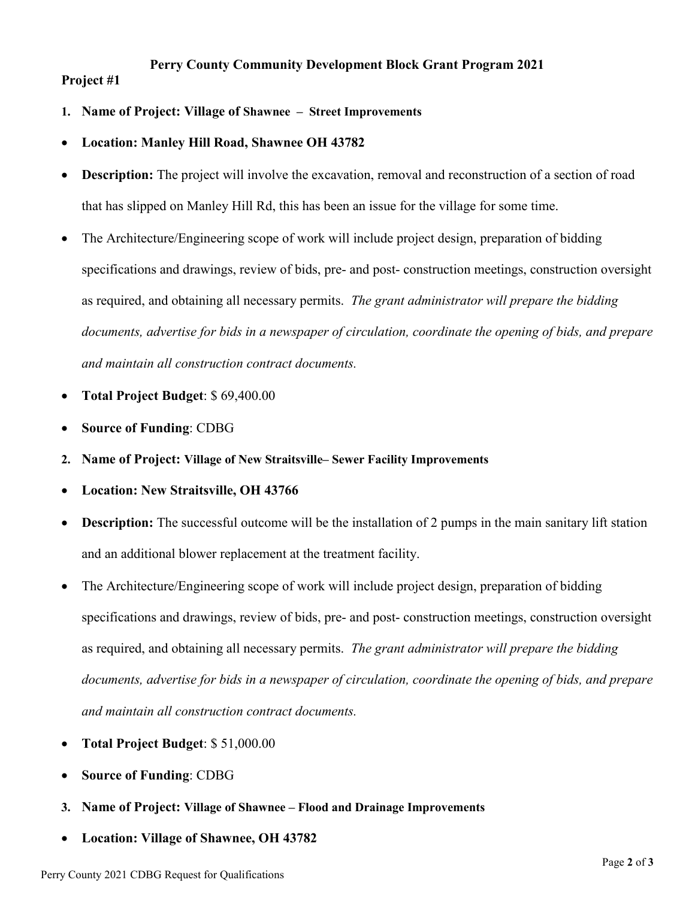# **Perry County Community Development Block Grant Program 2021**

#### **Project #1**

- **1. Name of Project: Village of Shawnee – Street Improvements**
- **Location: Manley Hill Road, Shawnee OH 43782**
- **Description:** The project will involve the excavation, removal and reconstruction of a section of road that has slipped on Manley Hill Rd, this has been an issue for the village for some time.
- The Architecture/Engineering scope of work will include project design, preparation of bidding specifications and drawings, review of bids, pre- and post- construction meetings, construction oversight as required, and obtaining all necessary permits. *The grant administrator will prepare the bidding documents, advertise for bids in a newspaper of circulation, coordinate the opening of bids, and prepare and maintain all construction contract documents.*
- **Total Project Budget**: \$ 69,400.00
- **Source of Funding**: CDBG
- **2. Name of Project: Village of New Straitsville– Sewer Facility Improvements**
- **Location: New Straitsville, OH 43766**
- **Description:** The successful outcome will be the installation of 2 pumps in the main sanitary lift station and an additional blower replacement at the treatment facility.
- The Architecture/Engineering scope of work will include project design, preparation of bidding specifications and drawings, review of bids, pre- and post- construction meetings, construction oversight as required, and obtaining all necessary permits. *The grant administrator will prepare the bidding documents, advertise for bids in a newspaper of circulation, coordinate the opening of bids, and prepare and maintain all construction contract documents.*
- **Total Project Budget**: \$ 51,000.00
- **Source of Funding**: CDBG
- **3. Name of Project: Village of Shawnee – Flood and Drainage Improvements**
- **Location: Village of Shawnee, OH 43782**